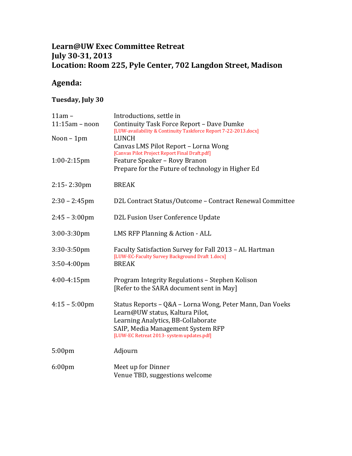## **Learn@UW Exec Committee Retreat July 30-31, 2013 Location: Room 225, Pyle Center, 702 Langdon Street, Madison**

## **Agenda:**

## **Tuesday, July 30**

| $11am -$<br>$11:15am - noon$ | Introductions, settle in<br>Continuity Task Force Report - Dave Dumke                                     |
|------------------------------|-----------------------------------------------------------------------------------------------------------|
| Noon $-1$ pm                 | [LUW-availability & Continuity Taskforce Report 7-22-2013.docx]<br>LUNCH                                  |
|                              | Canvas LMS Pilot Report - Lorna Wong                                                                      |
|                              | [Canvas Pilot Project Report Final Draft.pdf]                                                             |
| $1:00-2:15$ pm               | Feature Speaker - Rovy Branon<br>Prepare for the Future of technology in Higher Ed                        |
| $2:15 - 2:30$ pm             | <b>BREAK</b>                                                                                              |
| $2:30 - 2:45$ pm             | D2L Contract Status/Outcome - Contract Renewal Committee                                                  |
| $2:45 - 3:00 \text{pm}$      | D2L Fusion User Conference Update                                                                         |
| $3:00-3:30$ pm               | LMS RFP Planning & Action - ALL                                                                           |
| 3:30-3:50pm                  | Faculty Satisfaction Survey for Fall 2013 - AL Hartman<br>[LUW-EC-Faculty Survey Background Draft 1.docx] |
| $3:50 - 4:00$ pm             | <b>BREAK</b>                                                                                              |
| 4:00-4:15pm                  | Program Integrity Regulations - Stephen Kolison<br>[Refer to the SARA document sent in May]               |
| $4:15 - 5:00 \text{pm}$      | Status Reports - Q&A - Lorna Wong, Peter Mann, Dan Voeks<br>Learn@UW status, Kaltura Pilot,               |
|                              | Learning Analytics, BB-Collaborate                                                                        |
|                              | SAIP, Media Management System RFP<br>[LUW-EC Retreat 2013- system updates.pdf]                            |
| 5:00pm                       | Adjourn                                                                                                   |
| $6:00$ pm                    | Meet up for Dinner                                                                                        |
|                              | Venue TBD, suggestions welcome                                                                            |